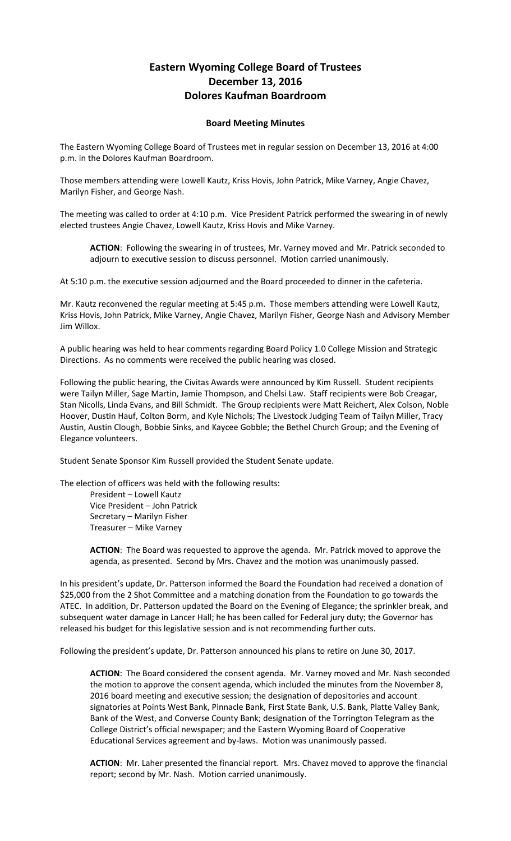## **Eastern Wyoming College Board of Trustees December 13, 2016 Dolores Kaufman Boardroom**

## **Board Meeting Minutes**

The Eastern Wyoming College Board of Trustees met in regular session on December 13, 2016 at 4:00 p.m. in the Dolores Kaufman Boardroom.

Those members attending were Lowell Kautz, Kriss Hovis, John Patrick, Mike Varney, Angie Chavez, Marilyn Fisher, and George Nash.

The meeting was called to order at 4:10 p.m. Vice President Patrick performed the swearing in of newly elected trustees Angie Chavez, Lowell Kautz, Kriss Hovis and Mike Varney.

**ACTION**: Following the swearing in of trustees, Mr. Varney moved and Mr. Patrick seconded to adjourn to executive session to discuss personnel. Motion carried unanimously.

At 5:10 p.m. the executive session adjourned and the Board proceeded to dinner in the cafeteria.

Mr. Kautz reconvened the regular meeting at 5:45 p.m. Those members attending were Lowell Kautz, Kriss Hovis, John Patrick, Mike Varney, Angie Chavez, Marilyn Fisher, George Nash and Advisory Member Jim Willox.

A public hearing was held to hear comments regarding Board Policy 1.0 College Mission and Strategic Directions. As no comments were received the public hearing was closed.

Following the public hearing, the Civitas Awards were announced by Kim Russell. Student recipients were Tailyn Miller, Sage Martin, Jamie Thompson, and Chelsi Law. Staff recipients were Bob Creagar, Stan Nicolls, Linda Evans, and Bill Schmidt. The Group recipients were Matt Reichert, Alex Colson, Noble Hoover, Dustin Hauf, Colton Borm, and Kyle Nichols; The Livestock Judging Team of Tailyn Miller, Tracy Austin, Austin Clough, Bobbie Sinks, and Kaycee Gobble; the Bethel Church Group; and the Evening of Elegance volunteers.

Student Senate Sponsor Kim Russell provided the Student Senate update.

The election of officers was held with the following results:

President – Lowell Kautz Vice President – John Patrick Secretary – Marilyn Fisher Treasurer – Mike Varney

**ACTION**: The Board was requested to approve the agenda. Mr. Patrick moved to approve the agenda, as presented. Second by Mrs. Chavez and the motion was unanimously passed.

In his president's update, Dr. Patterson informed the Board the Foundation had received a donation of \$25,000 from the 2 Shot Committee and a matching donation from the Foundation to go towards the ATEC. In addition, Dr. Patterson updated the Board on the Evening of Elegance; the sprinkler break, and subsequent water damage in Lancer Hall; he has been called for Federal jury duty; the Governor has released his budget for this legislative session and is not recommending further cuts.

Following the president's update, Dr. Patterson announced his plans to retire on June 30, 2017.

**ACTION**: The Board considered the consent agenda. Mr. Varney moved and Mr. Nash seconded the motion to approve the consent agenda, which included the minutes from the November 8, 2016 board meeting and executive session; the designation of depositories and account signatories at Points West Bank, Pinnacle Bank, First State Bank, U.S. Bank, Platte Valley Bank, Bank of the West, and Converse County Bank; designation of the Torrington Telegram as the College District's official newspaper; and the Eastern Wyoming Board of Cooperative Educational Services agreement and by-laws. Motion was unanimously passed.

**ACTION**: Mr. Laher presented the financial report. Mrs. Chavez moved to approve the financial report; second by Mr. Nash. Motion carried unanimously.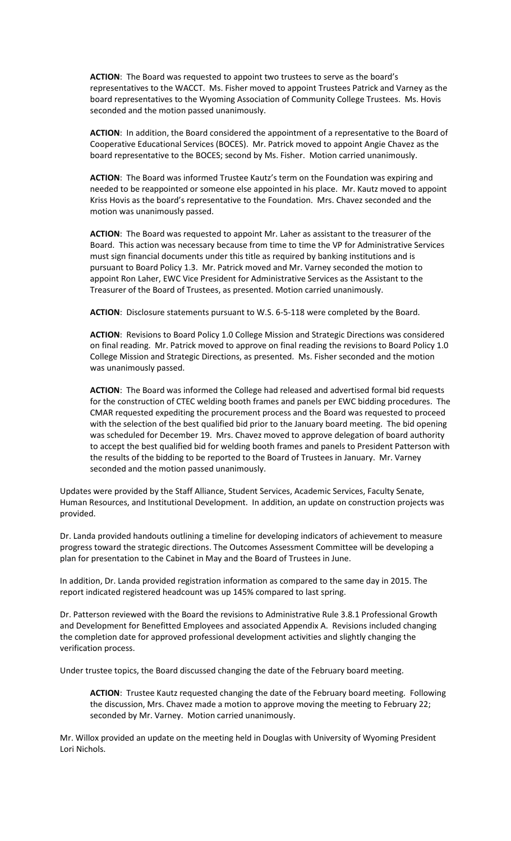**ACTION**: The Board was requested to appoint two trustees to serve as the board's representatives to the WACCT. Ms. Fisher moved to appoint Trustees Patrick and Varney as the board representatives to the Wyoming Association of Community College Trustees. Ms. Hovis seconded and the motion passed unanimously.

**ACTION**: In addition, the Board considered the appointment of a representative to the Board of Cooperative Educational Services (BOCES). Mr. Patrick moved to appoint Angie Chavez as the board representative to the BOCES; second by Ms. Fisher. Motion carried unanimously.

**ACTION**: The Board was informed Trustee Kautz's term on the Foundation was expiring and needed to be reappointed or someone else appointed in his place. Mr. Kautz moved to appoint Kriss Hovis as the board's representative to the Foundation. Mrs. Chavez seconded and the motion was unanimously passed.

**ACTION**: The Board was requested to appoint Mr. Laher as assistant to the treasurer of the Board. This action was necessary because from time to time the VP for Administrative Services must sign financial documents under this title as required by banking institutions and is pursuant to Board Policy 1.3. Mr. Patrick moved and Mr. Varney seconded the motion to appoint Ron Laher, EWC Vice President for Administrative Services as the Assistant to the Treasurer of the Board of Trustees, as presented. Motion carried unanimously.

**ACTION**: Disclosure statements pursuant to W.S. 6-5-118 were completed by the Board.

**ACTION**: Revisions to Board Policy 1.0 College Mission and Strategic Directions was considered on final reading. Mr. Patrick moved to approve on final reading the revisions to Board Policy 1.0 College Mission and Strategic Directions, as presented. Ms. Fisher seconded and the motion was unanimously passed.

**ACTION**: The Board was informed the College had released and advertised formal bid requests for the construction of CTEC welding booth frames and panels per EWC bidding procedures. The CMAR requested expediting the procurement process and the Board was requested to proceed with the selection of the best qualified bid prior to the January board meeting. The bid opening was scheduled for December 19. Mrs. Chavez moved to approve delegation of board authority to accept the best qualified bid for welding booth frames and panels to President Patterson with the results of the bidding to be reported to the Board of Trustees in January. Mr. Varney seconded and the motion passed unanimously.

Updates were provided by the Staff Alliance, Student Services, Academic Services, Faculty Senate, Human Resources, and Institutional Development. In addition, an update on construction projects was provided.

Dr. Landa provided handouts outlining a timeline for developing indicators of achievement to measure progress toward the strategic directions. The Outcomes Assessment Committee will be developing a plan for presentation to the Cabinet in May and the Board of Trustees in June.

In addition, Dr. Landa provided registration information as compared to the same day in 2015. The report indicated registered headcount was up 145% compared to last spring.

Dr. Patterson reviewed with the Board the revisions to Administrative Rule 3.8.1 Professional Growth and Development for Benefitted Employees and associated Appendix A. Revisions included changing the completion date for approved professional development activities and slightly changing the verification process.

Under trustee topics, the Board discussed changing the date of the February board meeting.

**ACTION**: Trustee Kautz requested changing the date of the February board meeting. Following the discussion, Mrs. Chavez made a motion to approve moving the meeting to February 22; seconded by Mr. Varney. Motion carried unanimously.

Mr. Willox provided an update on the meeting held in Douglas with University of Wyoming President Lori Nichols.